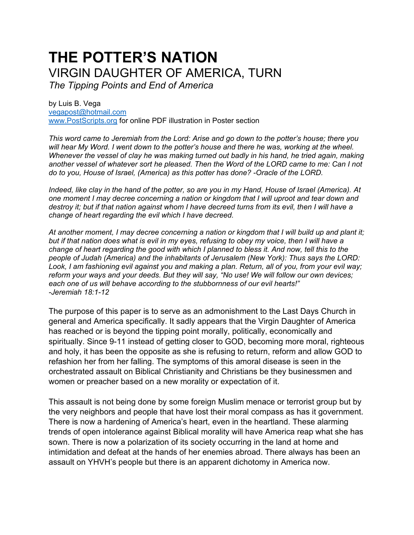# **THE POTTER'S NATION** VIRGIN DAUGHTER OF AMERICA, TURN

*The Tipping Points and End of America*

by Luis B. Vega [vegapost@hotmail.com](mailto:vegapost@hotmail.com) [www.PostScripts.org](http://www.postscripts.org/) for online PDF illustration in Poster section

*This word came to Jeremiah from the Lord: Arise and go down to the potter's house; there you will hear My Word. I went down to the potter's house and there he was, working at the wheel. Whenever the vessel of clay he was making turned out badly in his hand, he tried again, making another vessel of whatever sort he pleased. Then the Word of the LORD came to me: Can I not do to you, House of Israel, (America) as this potter has done? -Oracle of the LORD.*

*Indeed, like clay in the hand of the potter, so are you in my Hand, House of Israel (America). At one moment I may decree concerning a nation or kingdom that I will uproot and tear down and destroy it; but if that nation against whom I have decreed turns from its evil, then I will have a change of heart regarding the evil which I have decreed.* 

*At another moment, I may decree concerning a nation or kingdom that I will build up and plant it; but if that nation does what is evil in my eyes, refusing to obey my voice, then I will have a change of heart regarding the good with which I planned to bless it. And now, tell this to the people of Judah (America) and the inhabitants of Jerusalem (New York): Thus says the LORD: Look, I am fashioning evil against you and making a plan. Return, all of you, from your evil way; reform your ways and your deeds. But they will say, "No use! We will follow our own devices; each one of us will behave according to the stubbornness of our evil hearts!" -Jeremiah 18:1-12*

The purpose of this paper is to serve as an admonishment to the Last Days Church in general and America specifically. It sadly appears that the Virgin Daughter of America has reached or is beyond the tipping point morally, politically, economically and spiritually. Since 9-11 instead of getting closer to GOD, becoming more moral, righteous and holy, it has been the opposite as she is refusing to return, reform and allow GOD to refashion her from her falling. The symptoms of this amoral disease is seen in the orchestrated assault on Biblical Christianity and Christians be they businessmen and women or preacher based on a new morality or expectation of it.

This assault is not being done by some foreign Muslim menace or terrorist group but by the very neighbors and people that have lost their moral compass as has it government. There is now a hardening of America's heart, even in the heartland. These alarming trends of open intolerance against Biblical morality will have America reap what she has sown. There is now a polarization of its society occurring in the land at home and intimidation and defeat at the hands of her enemies abroad. There always has been an assault on YHVH's people but there is an apparent dichotomy in America now.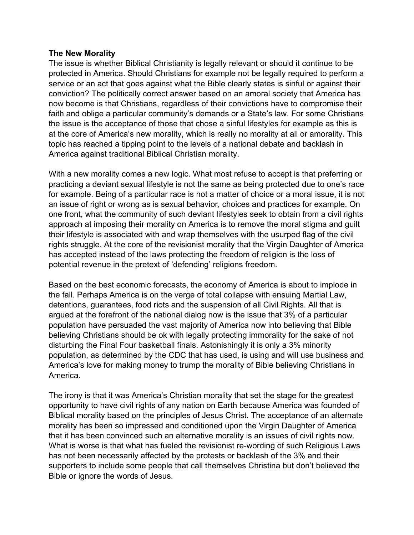#### **The New Morality**

The issue is whether Biblical Christianity is legally relevant or should it continue to be protected in America. Should Christians for example not be legally required to perform a service or an act that goes against what the Bible clearly states is sinful or against their conviction? The politically correct answer based on an amoral society that America has now become is that Christians, regardless of their convictions have to compromise their faith and oblige a particular community's demands or a State's law. For some Christians the issue is the acceptance of those that chose a sinful lifestyles for example as this is at the core of America's new morality, which is really no morality at all or amorality. This topic has reached a tipping point to the levels of a national debate and backlash in America against traditional Biblical Christian morality.

With a new morality comes a new logic. What most refuse to accept is that preferring or practicing a deviant sexual lifestyle is not the same as being protected due to one's race for example. Being of a particular race is not a matter of choice or a moral issue, it is not an issue of right or wrong as is sexual behavior, choices and practices for example. On one front, what the community of such deviant lifestyles seek to obtain from a civil rights approach at imposing their morality on America is to remove the moral stigma and guilt their lifestyle is associated with and wrap themselves with the usurped flag of the civil rights struggle. At the core of the revisionist morality that the Virgin Daughter of America has accepted instead of the laws protecting the freedom of religion is the loss of potential revenue in the pretext of 'defending' religions freedom.

Based on the best economic forecasts, the economy of America is about to implode in the fall. Perhaps America is on the verge of total collapse with ensuing Martial Law, detentions, guarantees, food riots and the suspension of all Civil Rights. All that is argued at the forefront of the national dialog now is the issue that 3% of a particular population have persuaded the vast majority of America now into believing that Bible believing Christians should be ok with legally protecting immorality for the sake of not disturbing the Final Four basketball finals. Astonishingly it is only a 3% minority population, as determined by the CDC that has used, is using and will use business and America's love for making money to trump the morality of Bible believing Christians in America.

The irony is that it was America's Christian morality that set the stage for the greatest opportunity to have civil rights of any nation on Earth because America was founded of Biblical morality based on the principles of Jesus Christ. The acceptance of an alternate morality has been so impressed and conditioned upon the Virgin Daughter of America that it has been convinced such an alternative morality is an issues of civil rights now. What is worse is that what has fueled the revisionist re-wording of such Religious Laws has not been necessarily affected by the protests or backlash of the 3% and their supporters to include some people that call themselves Christina but don't believed the Bible or ignore the words of Jesus.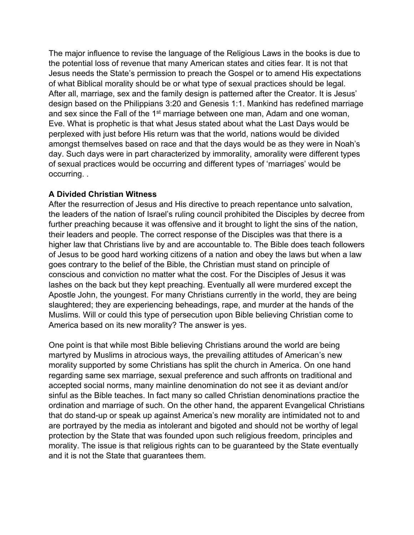The major influence to revise the language of the Religious Laws in the books is due to the potential loss of revenue that many American states and cities fear. It is not that Jesus needs the State's permission to preach the Gospel or to amend His expectations of what Biblical morality should be or what type of sexual practices should be legal. After all, marriage, sex and the family design is patterned after the Creator. It is Jesus' design based on the Philippians 3:20 and Genesis 1:1. Mankind has redefined marriage and sex since the Fall of the 1<sup>st</sup> marriage between one man, Adam and one woman, Eve. What is prophetic is that what Jesus stated about what the Last Days would be perplexed with just before His return was that the world, nations would be divided amongst themselves based on race and that the days would be as they were in Noah's day. Such days were in part characterized by immorality, amorality were different types of sexual practices would be occurring and different types of 'marriages' would be occurring. .

## **A Divided Christian Witness**

After the resurrection of Jesus and His directive to preach repentance unto salvation, the leaders of the nation of Israel's ruling council prohibited the Disciples by decree from further preaching because it was offensive and it brought to light the sins of the nation, their leaders and people. The correct response of the Disciples was that there is a higher law that Christians live by and are accountable to. The Bible does teach followers of Jesus to be good hard working citizens of a nation and obey the laws but when a law goes contrary to the belief of the Bible, the Christian must stand on principle of conscious and conviction no matter what the cost. For the Disciples of Jesus it was lashes on the back but they kept preaching. Eventually all were murdered except the Apostle John, the youngest. For many Christians currently in the world, they are being slaughtered; they are experiencing beheadings, rape, and murder at the hands of the Muslims. Will or could this type of persecution upon Bible believing Christian come to America based on its new morality? The answer is yes.

One point is that while most Bible believing Christians around the world are being martyred by Muslims in atrocious ways, the prevailing attitudes of American's new morality supported by some Christians has split the church in America. On one hand regarding same sex marriage, sexual preference and such affronts on traditional and accepted social norms, many mainline denomination do not see it as deviant and/or sinful as the Bible teaches. In fact many so called Christian denominations practice the ordination and marriage of such. On the other hand, the apparent Evangelical Christians that do stand-up or speak up against America's new morality are intimidated not to and are portrayed by the media as intolerant and bigoted and should not be worthy of legal protection by the State that was founded upon such religious freedom, principles and morality. The issue is that religious rights can to be guaranteed by the State eventually and it is not the State that guarantees them.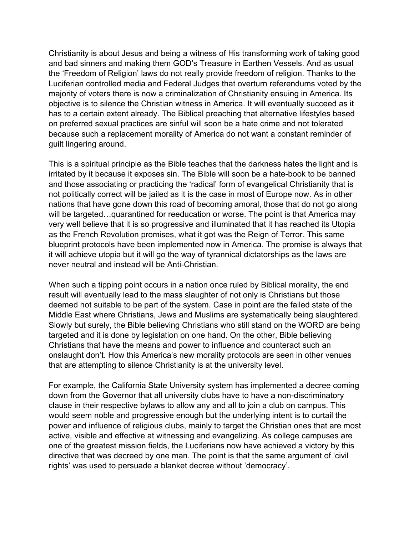Christianity is about Jesus and being a witness of His transforming work of taking good and bad sinners and making them GOD's Treasure in Earthen Vessels. And as usual the 'Freedom of Religion' laws do not really provide freedom of religion. Thanks to the Luciferian controlled media and Federal Judges that overturn referendums voted by the majority of voters there is now a criminalization of Christianity ensuing in America. Its objective is to silence the Christian witness in America. It will eventually succeed as it has to a certain extent already. The Biblical preaching that alternative lifestyles based on preferred sexual practices are sinful will soon be a hate crime and not tolerated because such a replacement morality of America do not want a constant reminder of guilt lingering around.

This is a spiritual principle as the Bible teaches that the darkness hates the light and is irritated by it because it exposes sin. The Bible will soon be a hate-book to be banned and those associating or practicing the 'radical' form of evangelical Christianity that is not politically correct will be jailed as it is the case in most of Europe now. As in other nations that have gone down this road of becoming amoral, those that do not go along will be targeted... quarantined for reeducation or worse. The point is that America may very well believe that it is so progressive and illuminated that it has reached its Utopia as the French Revolution promises, what it got was the Reign of Terror. This same blueprint protocols have been implemented now in America. The promise is always that it will achieve utopia but it will go the way of tyrannical dictatorships as the laws are never neutral and instead will be Anti-Christian.

When such a tipping point occurs in a nation once ruled by Biblical morality, the end result will eventually lead to the mass slaughter of not only is Christians but those deemed not suitable to be part of the system. Case in point are the failed state of the Middle East where Christians, Jews and Muslims are systematically being slaughtered. Slowly but surely, the Bible believing Christians who still stand on the WORD are being targeted and it is done by legislation on one hand. On the other, Bible believing Christians that have the means and power to influence and counteract such an onslaught don't. How this America's new morality protocols are seen in other venues that are attempting to silence Christianity is at the university level.

For example, the California State University system has implemented a decree coming down from the Governor that all university clubs have to have a non-discriminatory clause in their respective bylaws to allow any and all to join a club on campus. This would seem noble and progressive enough but the underlying intent is to curtail the power and influence of religious clubs, mainly to target the Christian ones that are most active, visible and effective at witnessing and evangelizing. As college campuses are one of the greatest mission fields, the Luciferians now have achieved a victory by this directive that was decreed by one man. The point is that the same argument of 'civil rights' was used to persuade a blanket decree without 'democracy'.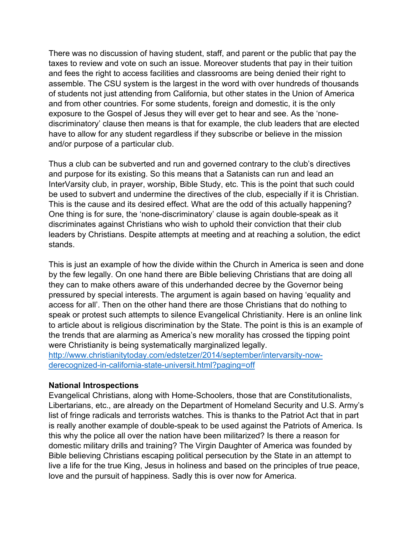There was no discussion of having student, staff, and parent or the public that pay the taxes to review and vote on such an issue. Moreover students that pay in their tuition and fees the right to access facilities and classrooms are being denied their right to assemble. The CSU system is the largest in the word with over hundreds of thousands of students not just attending from California, but other states in the Union of America and from other countries. For some students, foreign and domestic, it is the only exposure to the Gospel of Jesus they will ever get to hear and see. As the 'nonediscriminatory' clause then means is that for example, the club leaders that are elected have to allow for any student regardless if they subscribe or believe in the mission and/or purpose of a particular club.

Thus a club can be subverted and run and governed contrary to the club's directives and purpose for its existing. So this means that a Satanists can run and lead an InterVarsity club, in prayer, worship, Bible Study, etc. This is the point that such could be used to subvert and undermine the directives of the club, especially if it is Christian. This is the cause and its desired effect. What are the odd of this actually happening? One thing is for sure, the 'none-discriminatory' clause is again double-speak as it discriminates against Christians who wish to uphold their conviction that their club leaders by Christians. Despite attempts at meeting and at reaching a solution, the edict stands.

This is just an example of how the divide within the Church in America is seen and done by the few legally. On one hand there are Bible believing Christians that are doing all they can to make others aware of this underhanded decree by the Governor being pressured by special interests. The argument is again based on having 'equality and access for all'. Then on the other hand there are those Christians that do nothing to speak or protest such attempts to silence Evangelical Christianity. Here is an online link to article about is religious discrimination by the State. The point is this is an example of the trends that are alarming as America's new morality has crossed the tipping point were Christianity is being systematically marginalized legally. [http://www.christianitytoday.com/edstetzer/2014/september/intervarsity-now-](http://www.christianitytoday.com/edstetzer/2014/september/intervarsity-now-derecognized-in-california-state-universit.html?paging=off)

[derecognized-in-california-state-universit.html?paging=off](http://www.christianitytoday.com/edstetzer/2014/september/intervarsity-now-derecognized-in-california-state-universit.html?paging=off)

## **National Introspections**

Evangelical Christians, along with Home-Schoolers, those that are Constitutionalists, Libertarians, etc., are already on the Department of Homeland Security and U.S. Army's list of fringe radicals and terrorists watches. This is thanks to the Patriot Act that in part is really another example of double-speak to be used against the Patriots of America. Is this why the police all over the nation have been militarized? Is there a reason for domestic military drills and training? The Virgin Daughter of America was founded by Bible believing Christians escaping political persecution by the State in an attempt to live a life for the true King, Jesus in holiness and based on the principles of true peace, love and the pursuit of happiness. Sadly this is over now for America.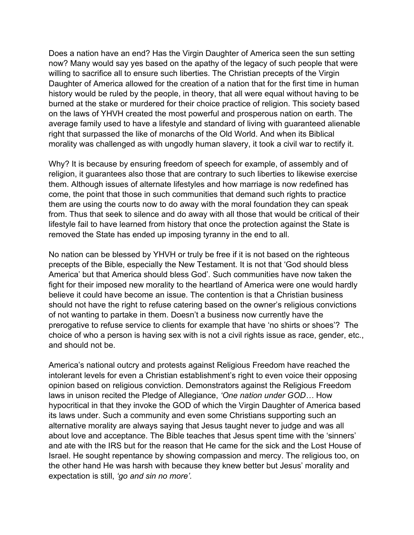Does a nation have an end? Has the Virgin Daughter of America seen the sun setting now? Many would say yes based on the apathy of the legacy of such people that were willing to sacrifice all to ensure such liberties. The Christian precepts of the Virgin Daughter of America allowed for the creation of a nation that for the first time in human history would be ruled by the people, in theory, that all were equal without having to be burned at the stake or murdered for their choice practice of religion. This society based on the laws of YHVH created the most powerful and prosperous nation on earth. The average family used to have a lifestyle and standard of living with guaranteed alienable right that surpassed the like of monarchs of the Old World. And when its Biblical morality was challenged as with ungodly human slavery, it took a civil war to rectify it.

Why? It is because by ensuring freedom of speech for example, of assembly and of religion, it guarantees also those that are contrary to such liberties to likewise exercise them. Although issues of alternate lifestyles and how marriage is now redefined has come, the point that those in such communities that demand such rights to practice them are using the courts now to do away with the moral foundation they can speak from. Thus that seek to silence and do away with all those that would be critical of their lifestyle fail to have learned from history that once the protection against the State is removed the State has ended up imposing tyranny in the end to all.

No nation can be blessed by YHVH or truly be free if it is not based on the righteous precepts of the Bible, especially the New Testament. It is not that 'God should bless America' but that America should bless God'. Such communities have now taken the fight for their imposed new morality to the heartland of America were one would hardly believe it could have become an issue. The contention is that a Christian business should not have the right to refuse catering based on the owner's religious convictions of not wanting to partake in them. Doesn't a business now currently have the prerogative to refuse service to clients for example that have 'no shirts or shoes'? The choice of who a person is having sex with is not a civil rights issue as race, gender, etc., and should not be.

America's national outcry and protests against Religious Freedom have reached the intolerant levels for even a Christian establishment's right to even voice their opposing opinion based on religious conviction. Demonstrators against the Religious Freedom laws in unison recited the Pledge of Allegiance, *'One nation under GOD…* How hypocritical in that they invoke the GOD of which the Virgin Daughter of America based its laws under. Such a community and even some Christians supporting such an alternative morality are always saying that Jesus taught never to judge and was all about love and acceptance. The Bible teaches that Jesus spent time with the 'sinners' and ate with the IRS but for the reason that He came for the sick and the Lost House of Israel. He sought repentance by showing compassion and mercy. The religious too, on the other hand He was harsh with because they knew better but Jesus' morality and expectation is still, *'go and sin no more'.*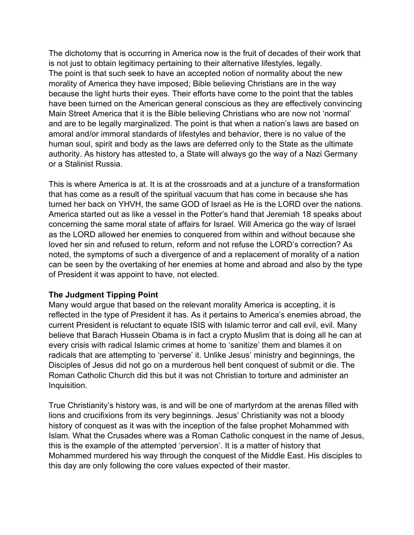The dichotomy that is occurring in America now is the fruit of decades of their work that is not just to obtain legitimacy pertaining to their alternative lifestyles, legally. The point is that such seek to have an accepted notion of normality about the new morality of America they have imposed; Bible believing Christians are in the way because the light hurts their eyes. Their efforts have come to the point that the tables have been turned on the American general conscious as they are effectively convincing Main Street America that it is the Bible believing Christians who are now not 'normal' and are to be legally marginalized. The point is that when a nation's laws are based on amoral and/or immoral standards of lifestyles and behavior, there is no value of the human soul, spirit and body as the laws are deferred only to the State as the ultimate authority. As history has attested to, a State will always go the way of a Nazi Germany or a Stalinist Russia.

This is where America is at. It is at the crossroads and at a juncture of a transformation that has come as a result of the spiritual vacuum that has come in because she has turned her back on YHVH, the same GOD of Israel as He is the LORD over the nations. America started out as like a vessel in the Potter's hand that Jeremiah 18 speaks about concerning the same moral state of affairs for Israel. Will America go the way of Israel as the LORD allowed her enemies to conquered from within and without because she loved her sin and refused to return, reform and not refuse the LORD's correction? As noted, the symptoms of such a divergence of and a replacement of morality of a nation can be seen by the overtaking of her enemies at home and abroad and also by the type of President it was appoint to have, not elected.

## **The Judgment Tipping Point**

Many would argue that based on the relevant morality America is accepting, it is reflected in the type of President it has. As it pertains to America's enemies abroad, the current President is reluctant to equate ISIS with Islamic terror and call evil, evil. Many believe that Barach Hussein Obama is in fact a crypto Muslim that is doing all he can at every crisis with radical Islamic crimes at home to 'sanitize' them and blames it on radicals that are attempting to 'perverse' it. Unlike Jesus' ministry and beginnings, the Disciples of Jesus did not go on a murderous hell bent conquest of submit or die. The Roman Catholic Church did this but it was not Christian to torture and administer an Inquisition.

True Christianity's history was, is and will be one of martyrdom at the arenas filled with lions and crucifixions from its very beginnings. Jesus' Christianity was not a bloody history of conquest as it was with the inception of the false prophet Mohammed with Islam. What the Crusades where was a Roman Catholic conquest in the name of Jesus, this is the example of the attempted 'perversion'. It is a matter of history that Mohammed murdered his way through the conquest of the Middle East. His disciples to this day are only following the core values expected of their master.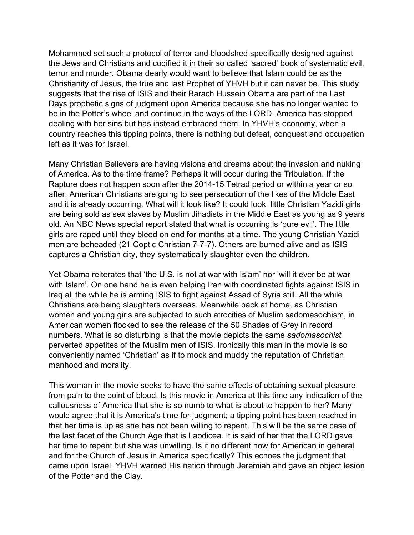Mohammed set such a protocol of terror and bloodshed specifically designed against the Jews and Christians and codified it in their so called 'sacred' book of systematic evil, terror and murder. Obama dearly would want to believe that Islam could be as the Christianity of Jesus, the true and last Prophet of YHVH but it can never be. This study suggests that the rise of ISIS and their Barach Hussein Obama are part of the Last Days prophetic signs of judgment upon America because she has no longer wanted to be in the Potter's wheel and continue in the ways of the LORD. America has stopped dealing with her sins but has instead embraced them. In YHVH's economy, when a country reaches this tipping points, there is nothing but defeat, conquest and occupation left as it was for Israel.

Many Christian Believers are having visions and dreams about the invasion and nuking of America. As to the time frame? Perhaps it will occur during the Tribulation. If the Rapture does not happen soon after the 2014-15 Tetrad period or within a year or so after, American Christians are going to see persecution of the likes of the Middle East and it is already occurring. What will it look like? It could look little Christian Yazidi girls are being sold as sex slaves by Muslim Jihadists in the Middle East as young as 9 years old. An NBC News special report stated that what is occurring is 'pure evil'. The little girls are raped until they bleed on end for months at a time. The young Christian Yazidi men are beheaded (21 Coptic Christian 7-7-7). Others are burned alive and as ISIS captures a Christian city, they systematically slaughter even the children.

Yet Obama reiterates that 'the U.S. is not at war with Islam' nor 'will it ever be at war with Islam'. On one hand he is even helping Iran with coordinated fights against ISIS in Iraq all the while he is arming ISIS to fight against Assad of Syria still. All the while Christians are being slaughters overseas. Meanwhile back at home, as Christian women and young girls are subjected to such atrocities of Muslim sadomasochism, in American women flocked to see the release of the 50 Shades of Grey in record numbers. What is so disturbing is that the movie depicts the same *sadomasochist*  perverted appetites of the Muslim men of ISIS. Ironically this man in the movie is so conveniently named 'Christian' as if to mock and muddy the reputation of Christian manhood and morality.

This woman in the movie seeks to have the same effects of obtaining sexual pleasure from pain to the point of blood. Is this movie in America at this time any indication of the callousness of America that she is so numb to what is about to happen to her? Many would agree that it is America's time for judgment; a tipping point has been reached in that her time is up as she has not been willing to repent. This will be the same case of the last facet of the Church Age that is Laodicea. It is said of her that the LORD gave her time to repent but she was unwilling. Is it no different now for American in general and for the Church of Jesus in America specifically? This echoes the judgment that came upon Israel. YHVH warned His nation through Jeremiah and gave an object lesion of the Potter and the Clay.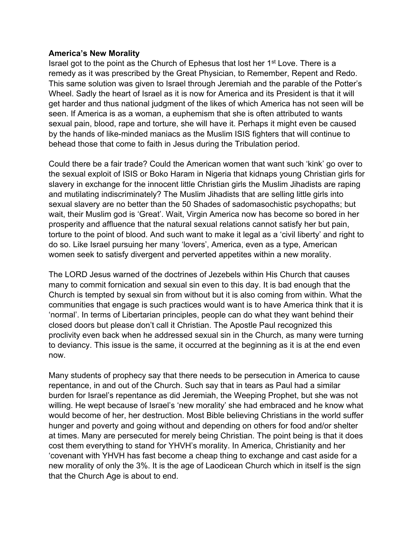#### **America's New Morality**

Israel got to the point as the Church of Ephesus that lost her 1st Love. There is a remedy as it was prescribed by the Great Physician, to Remember, Repent and Redo. This same solution was given to Israel through Jeremiah and the parable of the Potter's Wheel. Sadly the heart of Israel as it is now for America and its President is that it will get harder and thus national judgment of the likes of which America has not seen will be seen. If America is as a woman, a euphemism that she is often attributed to wants sexual pain, blood, rape and torture, she will have it. Perhaps it might even be caused by the hands of like-minded maniacs as the Muslim ISIS fighters that will continue to behead those that come to faith in Jesus during the Tribulation period.

Could there be a fair trade? Could the American women that want such 'kink' go over to the sexual exploit of ISIS or Boko Haram in Nigeria that kidnaps young Christian girls for slavery in exchange for the innocent little Christian girls the Muslim Jihadists are raping and mutilating indiscriminately? The Muslim Jihadists that are selling little girls into sexual slavery are no better than the 50 Shades of sadomasochistic psychopaths; but wait, their Muslim god is 'Great'. Wait, Virgin America now has become so bored in her prosperity and affluence that the natural sexual relations cannot satisfy her but pain, torture to the point of blood. And such want to make it legal as a 'civil liberty' and right to do so. Like Israel pursuing her many 'lovers', America, even as a type, American women seek to satisfy divergent and perverted appetites within a new morality.

The LORD Jesus warned of the doctrines of Jezebels within His Church that causes many to commit fornication and sexual sin even to this day. It is bad enough that the Church is tempted by sexual sin from without but it is also coming from within. What the communities that engage is such practices would want is to have America think that it is 'normal'. In terms of Libertarian principles, people can do what they want behind their closed doors but please don't call it Christian. The Apostle Paul recognized this proclivity even back when he addressed sexual sin in the Church, as many were turning to deviancy. This issue is the same, it occurred at the beginning as it is at the end even now.

Many students of prophecy say that there needs to be persecution in America to cause repentance, in and out of the Church. Such say that in tears as Paul had a similar burden for Israel's repentance as did Jeremiah, the Weeping Prophet, but she was not willing. He wept because of Israel's 'new morality' she had embraced and he know what would become of her, her destruction. Most Bible believing Christians in the world suffer hunger and poverty and going without and depending on others for food and/or shelter at times. Many are persecuted for merely being Christian. The point being is that it does cost them everything to stand for YHVH's morality. In America, Christianity and her 'covenant with YHVH has fast become a cheap thing to exchange and cast aside for a new morality of only the 3%. It is the age of Laodicean Church which in itself is the sign that the Church Age is about to end.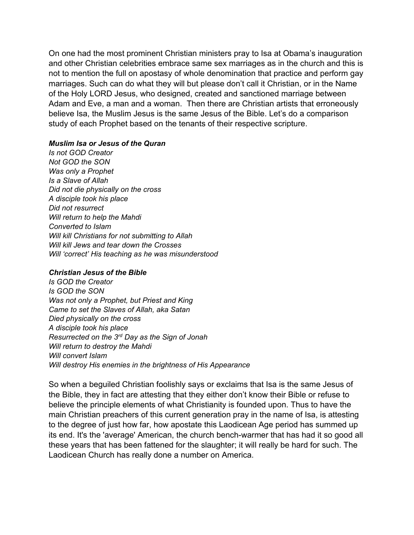On one had the most prominent Christian ministers pray to Isa at Obama's inauguration and other Christian celebrities embrace same sex marriages as in the church and this is not to mention the full on apostasy of whole denomination that practice and perform gay marriages. Such can do what they will but please don't call it Christian, or in the Name of the Holy LORD Jesus, who designed, created and sanctioned marriage between Adam and Eve, a man and a woman. Then there are Christian artists that erroneously believe Isa, the Muslim Jesus is the same Jesus of the Bible. Let's do a comparison study of each Prophet based on the tenants of their respective scripture.

#### *Muslim Isa or Jesus of the Quran*

*Is not GOD Creator Not GOD the SON Was only a Prophet Is a Slave of Allah Did not die physically on the cross A disciple took his place Did not resurrect Will return to help the Mahdi Converted to Islam Will kill Christians for not submitting to Allah Will kill Jews and tear down the Crosses Will 'correct' His teaching as he was misunderstood*

#### *Christian Jesus of the Bible*

*Is GOD the Creator Is GOD the SON Was not only a Prophet, but Priest and King Came to set the Slaves of Allah, aka Satan Died physically on the cross A disciple took his place Resurrected on the 3rd Day as the Sign of Jonah Will return to destroy the Mahdi Will convert Islam Will destroy His enemies in the brightness of His Appearance*

So when a beguiled Christian foolishly says or exclaims that Isa is the same Jesus of the Bible, they in fact are attesting that they either don't know their Bible or refuse to believe the principle elements of what Christianity is founded upon. Thus to have the main Christian preachers of this current generation pray in the name of Isa, is attesting to the degree of just how far, how apostate this Laodicean Age period has summed up its end. It's the 'average' American, the church bench-warmer that has had it so good all these years that has been fattened for the slaughter; it will really be hard for such. The Laodicean Church has really done a number on America.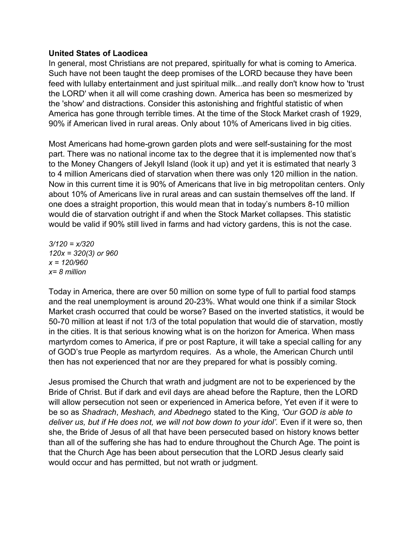## **United States of Laodicea**

In general, most Christians are not prepared, spiritually for what is coming to America. Such have not been taught the deep promises of the LORD because they have been feed with lullaby entertainment and just spiritual milk...and really don't know how to 'trust the LORD' when it all will come crashing down. America has been so mesmerized by the 'show' and distractions. Consider this astonishing and frightful statistic of when America has gone through terrible times. At the time of the Stock Market crash of 1929, 90% if American lived in rural areas. Only about 10% of Americans lived in big cities.

Most Americans had home-grown garden plots and were self-sustaining for the most part. There was no national income tax to the degree that it is implemented now that's to the Money Changers of Jekyll Island (look it up) and yet it is estimated that nearly 3 to 4 million Americans died of starvation when there was only 120 million in the nation. Now in this current time it is 90% of Americans that live in big metropolitan centers. Only about 10% of Americans live in rural areas and can sustain themselves off the land. If one does a straight proportion, this would mean that in today's numbers 8-10 million would die of starvation outright if and when the Stock Market collapses. This statistic would be valid if 90% still lived in farms and had victory gardens, this is not the case.

*3/120 = x/320 120x = 320(3) or 960 x = 120/960 x= 8 million*

Today in America, there are over 50 million on some type of full to partial food stamps and the real unemployment is around 20-23%. What would one think if a similar Stock Market crash occurred that could be worse? Based on the inverted statistics, it would be 50-70 million at least if not 1/3 of the total population that would die of starvation, mostly in the cities. It is that serious knowing what is on the horizon for America. When mass martyrdom comes to America, if pre or post Rapture, it will take a special calling for any of GOD's true People as martyrdom requires. As a whole, the American Church until then has not experienced that nor are they prepared for what is possibly coming.

Jesus promised the Church that wrath and judgment are not to be experienced by the Bride of Christ. But if dark and evil days are ahead before the Rapture, then the LORD will allow persecution not seen or experienced in America before, Yet even if it were to be so as *Shadrach*, *Meshach, and Abednego* stated to the King, *'Our GOD is able to*  deliver us, but if He does not, we will not bow down to your idol'. Even if it were so, then she, the Bride of Jesus of all that have been persecuted based on history knows better than all of the suffering she has had to endure throughout the Church Age. The point is that the Church Age has been about persecution that the LORD Jesus clearly said would occur and has permitted, but not wrath or judgment.